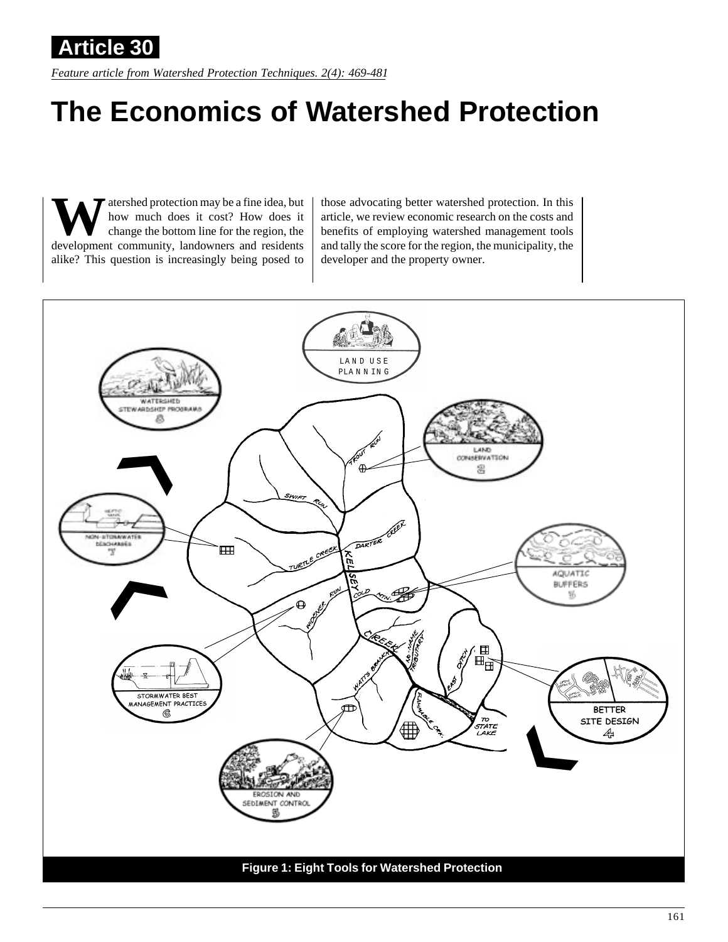*Feature article from Watershed Protection Techniques. 2(4): 469-481* **Article 30**

# **The Economics of Watershed Protection**

atershed protection may be a fine idea, but how much does it cost? How does it change the bottom line for the region, the development community, landowners and residents alike? This question is increasingly being posed to

those advocating better watershed protection. In this article, we review economic research on the costs and benefits of employing watershed management tools and tally the score for the region, the municipality, the developer and the property owner.

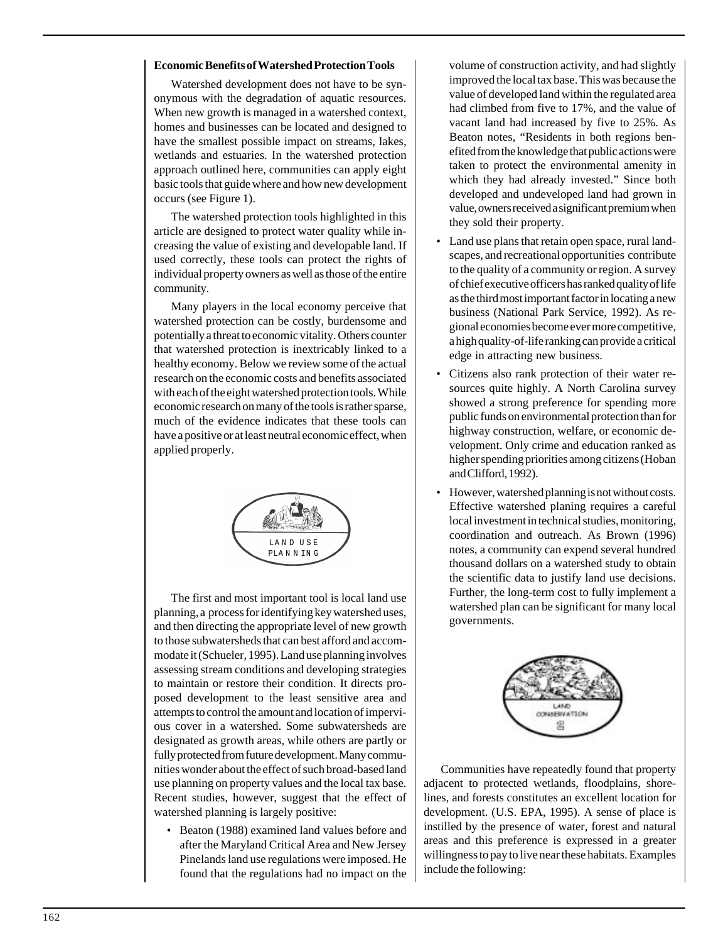### **Economic Benefits of Watershed Protection Tools**

Watershed development does not have to be synonymous with the degradation of aquatic resources. When new growth is managed in a watershed context, homes and businesses can be located and designed to have the smallest possible impact on streams, lakes, wetlands and estuaries. In the watershed protection approach outlined here, communities can apply eight basic tools that guide where and how new development occurs (see Figure 1).

The watershed protection tools highlighted in this article are designed to protect water quality while increasing the value of existing and developable land. If used correctly, these tools can protect the rights of individual property owners as well as those of the entire community.

Many players in the local economy perceive that watershed protection can be costly, burdensome and potentially a threat to economic vitality. Others counter that watershed protection is inextricably linked to a healthy economy. Below we review some of the actual research on the economic costs and benefits associated with each of the eight watershed protection tools. While economic research on many of the tools is rather sparse, much of the evidence indicates that these tools can have a positive or at least neutral economic effect, when applied properly.



The first and most important tool is local land use planning, a process for identifying key watershed uses, and then directing the appropriate level of new growth to those subwatersheds that can best afford and accommodate it (Schueler, 1995). Land use planning involves assessing stream conditions and developing strategies to maintain or restore their condition. It directs proposed development to the least sensitive area and attempts to control the amount and location of impervious cover in a watershed. Some subwatersheds are designated as growth areas, while others are partly or fully protected from future development. Many communities wonder about the effect of such broad-based land use planning on property values and the local tax base. Recent studies, however, suggest that the effect of watershed planning is largely positive:

• Beaton (1988) examined land values before and after the Maryland Critical Area and New Jersey Pinelands land use regulations were imposed. He found that the regulations had no impact on the volume of construction activity, and had slightly improved the local tax base. This was because the value of developed land within the regulated area had climbed from five to 17%, and the value of vacant land had increased by five to 25%. As Beaton notes, "Residents in both regions benefited from the knowledge that public actions were taken to protect the environmental amenity in which they had already invested." Since both developed and undeveloped land had grown in value, owners received a significant premium when they sold their property.

- Land use plans that retain open space, rural landscapes, and recreational opportunities contribute to the quality of a community or region. A survey of chief executive officers has ranked quality of life as the third most important factor in locating a new business (National Park Service, 1992). As regional economies become ever more competitive, a high quality-of-life ranking can provide a critical edge in attracting new business.
- Citizens also rank protection of their water resources quite highly. A North Carolina survey showed a strong preference for spending more public funds on environmental protection than for highway construction, welfare, or economic development. Only crime and education ranked as higher spending priorities among citizens (Hoban and Clifford, 1992).
- However, watershed planning is not without costs. Effective watershed planing requires a careful local investment in technical studies, monitoring, coordination and outreach. As Brown (1996) notes, a community can expend several hundred thousand dollars on a watershed study to obtain the scientific data to justify land use decisions. Further, the long-term cost to fully implement a watershed plan can be significant for many local governments.



Communities have repeatedly found that property adjacent to protected wetlands, floodplains, shorelines, and forests constitutes an excellent location for development. (U.S. EPA, 1995). A sense of place is instilled by the presence of water, forest and natural areas and this preference is expressed in a greater willingness to pay to live near these habitats. Examples include the following: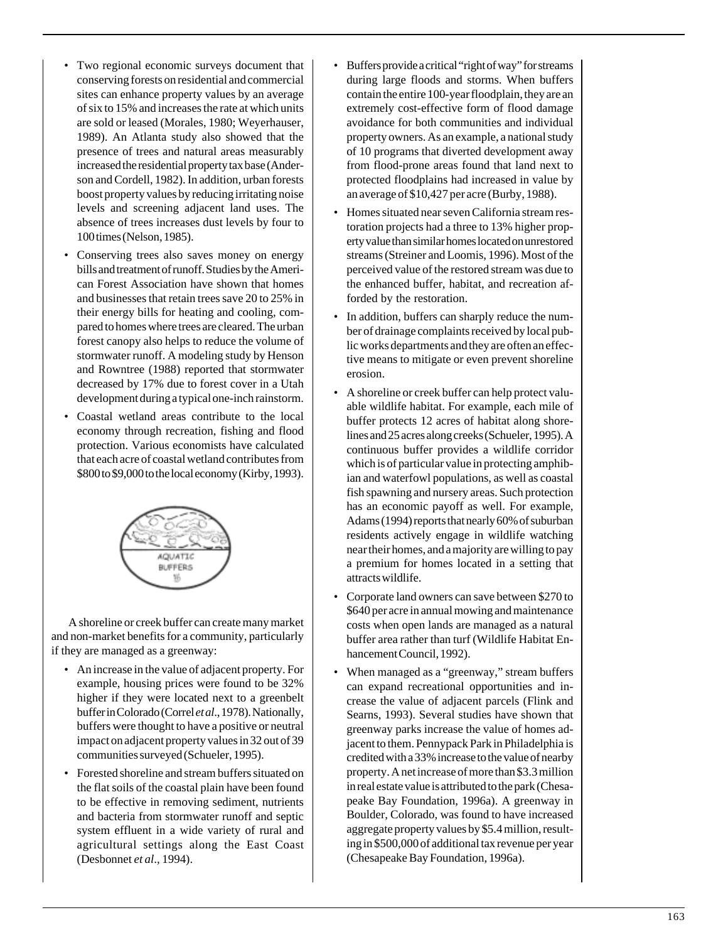- Two regional economic surveys document that conserving forests on residential and commercial sites can enhance property values by an average of six to 15% and increases the rate at which units are sold or leased (Morales, 1980; Weyerhauser, 1989). An Atlanta study also showed that the presence of trees and natural areas measurably increased the residential property tax base (Anderson and Cordell, 1982). In addition, urban forests boost property values by reducing irritating noise levels and screening adjacent land uses. The absence of trees increases dust levels by four to 100 times (Nelson, 1985).
- Conserving trees also saves money on energy bills and treatment of runoff. Studies by the American Forest Association have shown that homes and businesses that retain trees save 20 to 25% in their energy bills for heating and cooling, compared to homes where trees are cleared. The urban forest canopy also helps to reduce the volume of stormwater runoff. A modeling study by Henson and Rowntree (1988) reported that stormwater decreased by 17% due to forest cover in a Utah development during a typical one-inch rainstorm.
- Coastal wetland areas contribute to the local economy through recreation, fishing and flood protection. Various economists have calculated that each acre of coastal wetland contributes from \$800 to \$9,000 to the local economy (Kirby, 1993).



A shoreline or creek buffer can create many market and non-market benefits for a community, particularly if they are managed as a greenway:

- An increase in the value of adjacent property. For example, housing prices were found to be 32% higher if they were located next to a greenbelt buffer in Colorado (Correl *et al*., 1978). Nationally, buffers were thought to have a positive or neutral impact on adjacent property values in 32 out of 39 communities surveyed (Schueler, 1995).
- Forested shoreline and stream buffers situated on the flat soils of the coastal plain have been found to be effective in removing sediment, nutrients and bacteria from stormwater runoff and septic system effluent in a wide variety of rural and agricultural settings along the East Coast (Desbonnet *et al*., 1994).
- Buffers provide a critical "right of way" for streams during large floods and storms. When buffers contain the entire 100-year floodplain, they are an extremely cost-effective form of flood damage avoidance for both communities and individual property owners. As an example, a national study of 10 programs that diverted development away from flood-prone areas found that land next to protected floodplains had increased in value by an average of \$10,427 per acre (Burby, 1988).
- Homes situated near seven California stream restoration projects had a three to 13% higher property value than similar homes located on unrestored streams (Streiner and Loomis, 1996). Most of the perceived value of the restored stream was due to the enhanced buffer, habitat, and recreation afforded by the restoration.
- In addition, buffers can sharply reduce the number of drainage complaints received by local public works departments and they are often an effective means to mitigate or even prevent shoreline erosion.
- A shoreline or creek buffer can help protect valuable wildlife habitat. For example, each mile of buffer protects 12 acres of habitat along shorelines and 25 acres along creeks (Schueler, 1995). A continuous buffer provides a wildlife corridor which is of particular value in protecting amphibian and waterfowl populations, as well as coastal fish spawning and nursery areas. Such protection has an economic payoff as well. For example, Adams (1994) reports that nearly 60% of suburban residents actively engage in wildlife watching near their homes, and a majority are willing to pay a premium for homes located in a setting that attracts wildlife.
- Corporate land owners can save between \$270 to \$640 per acre in annual mowing and maintenance costs when open lands are managed as a natural buffer area rather than turf (Wildlife Habitat Enhancement Council, 1992).
- When managed as a "greenway," stream buffers can expand recreational opportunities and increase the value of adjacent parcels (Flink and Searns, 1993). Several studies have shown that greenway parks increase the value of homes adjacent to them. Pennypack Park in Philadelphia is credited with a 33% increase to the value of nearby property. A net increase of more than \$3.3 million in real estate value is attributed to the park (Chesapeake Bay Foundation, 1996a). A greenway in Boulder, Colorado, was found to have increased aggregate property values by \$5.4 million, resulting in \$500,000 of additional tax revenue per year (Chesapeake Bay Foundation, 1996a).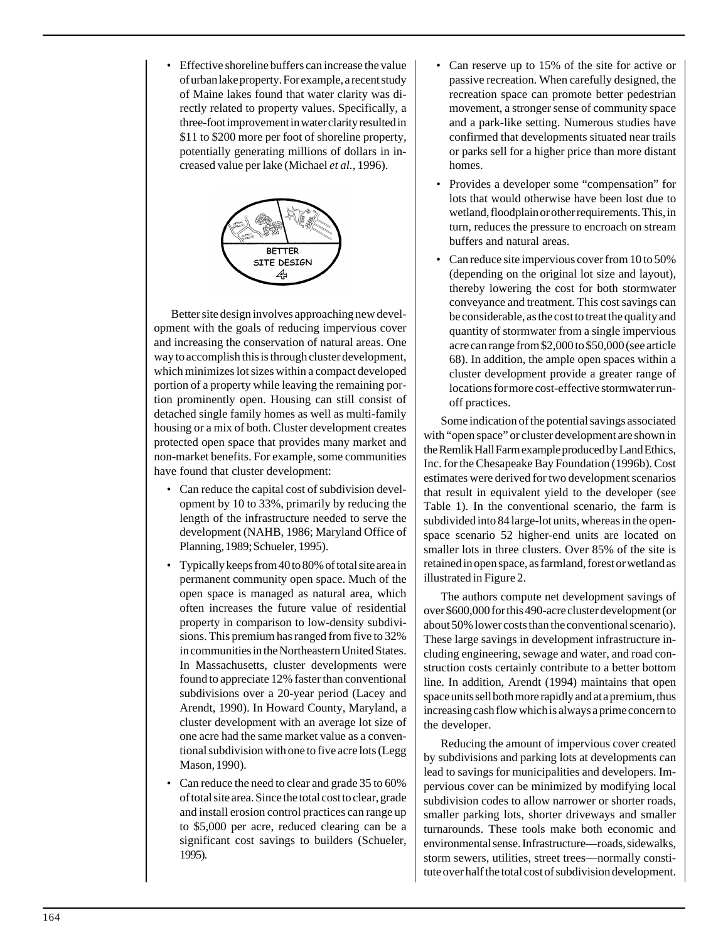• Effective shoreline buffers can increase the value of urban lake property. For example, a recent study of Maine lakes found that water clarity was directly related to property values. Specifically, a three-foot improvement in water clarity resulted in \$11 to \$200 more per foot of shoreline property, potentially generating millions of dollars in increased value per lake (Michael *et al.*, 1996).



Better site design involves approaching new development with the goals of reducing impervious cover and increasing the conservation of natural areas. One way to accomplish this is through cluster development, which minimizes lot sizes within a compact developed portion of a property while leaving the remaining portion prominently open. Housing can still consist of detached single family homes as well as multi-family housing or a mix of both. Cluster development creates protected open space that provides many market and non-market benefits. For example, some communities have found that cluster development:

- Can reduce the capital cost of subdivision development by 10 to 33%, primarily by reducing the length of the infrastructure needed to serve the development (NAHB, 1986; Maryland Office of Planning, 1989; Schueler, 1995).
- Typically keeps from 40 to 80% of total site area in permanent community open space. Much of the open space is managed as natural area, which often increases the future value of residential property in comparison to low-density subdivisions. This premium has ranged from five to 32% in communities in the Northeastern United States. In Massachusetts, cluster developments were found to appreciate 12% faster than conventional subdivisions over a 20-year period (Lacey and Arendt, 1990). In Howard County, Maryland, a cluster development with an average lot size of one acre had the same market value as a conventional subdivision with one to five acre lots (Legg Mason, 1990).
- Can reduce the need to clear and grade 35 to 60% of total site area. Since the total cost to clear, grade and install erosion control practices can range up to \$5,000 per acre, reduced clearing can be a significant cost savings to builders (Schueler, 1995).
- Can reserve up to 15% of the site for active or passive recreation. When carefully designed, the recreation space can promote better pedestrian movement, a stronger sense of community space and a park-like setting. Numerous studies have confirmed that developments situated near trails or parks sell for a higher price than more distant homes.
- Provides a developer some "compensation" for lots that would otherwise have been lost due to wetland, floodplain or other requirements. This, in turn, reduces the pressure to encroach on stream buffers and natural areas.
- Can reduce site impervious cover from 10 to 50% (depending on the original lot size and layout), thereby lowering the cost for both stormwater conveyance and treatment. This cost savings can be considerable, as the cost to treat the quality and quantity of stormwater from a single impervious acre can range from \$2,000 to \$50,000 (see article 68). In addition, the ample open spaces within a cluster development provide a greater range of locations for more cost-effective stormwater runoff practices.

Some indication of the potential savings associated with "open space" or cluster development are shown in the Remlik Hall Farm example produced by Land Ethics, Inc. for the Chesapeake Bay Foundation (1996b). Cost estimates were derived for two development scenarios that result in equivalent yield to the developer (see Table 1). In the conventional scenario, the farm is subdivided into 84 large-lot units, whereas in the openspace scenario 52 higher-end units are located on smaller lots in three clusters. Over 85% of the site is retained in open space, as farmland, forest or wetland as illustrated in Figure 2.

The authors compute net development savings of over \$600,000 for this 490-acre cluster development (or about 50% lower costs than the conventional scenario). These large savings in development infrastructure including engineering, sewage and water, and road construction costs certainly contribute to a better bottom line. In addition, Arendt (1994) maintains that open space units sell both more rapidly and at a premium, thus increasing cash flow which is always a prime concern to the developer.

Reducing the amount of impervious cover created by subdivisions and parking lots at developments can lead to savings for municipalities and developers. Impervious cover can be minimized by modifying local subdivision codes to allow narrower or shorter roads, smaller parking lots, shorter driveways and smaller turnarounds. These tools make both economic and environmental sense. Infrastructure—roads, sidewalks, storm sewers, utilities, street trees—normally constitute over half the total cost of subdivision development.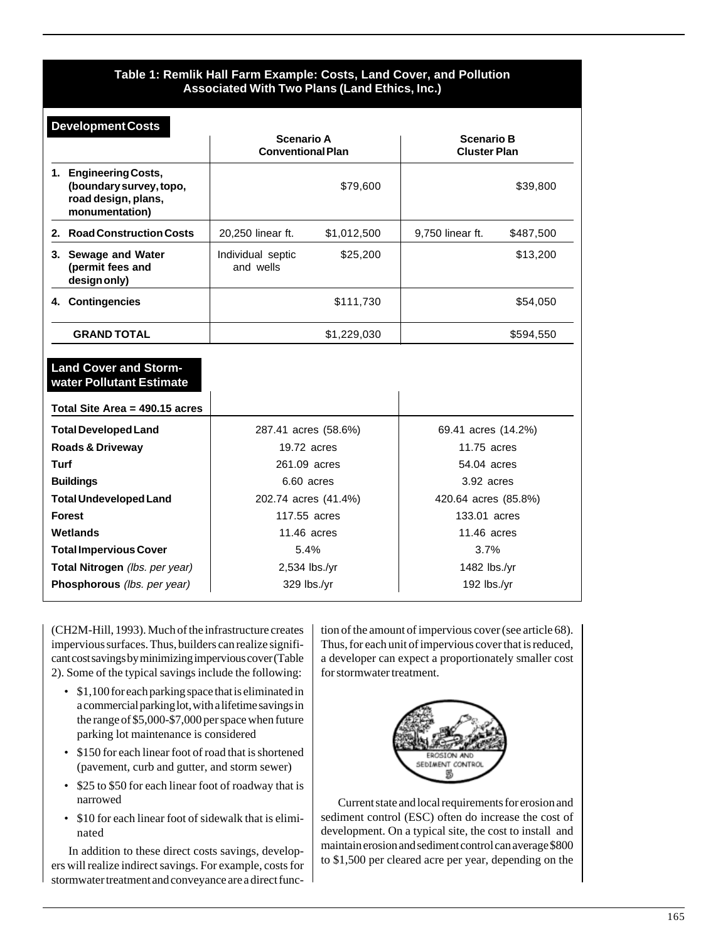# **Table 1: Remlik Hall Farm Example: Costs, Land Cover, and Pollution Associated With Two Plans (Land Ethics, Inc.)**

| <b>Development Costs</b>                                                                   |                                               |             |                                          |           |
|--------------------------------------------------------------------------------------------|-----------------------------------------------|-------------|------------------------------------------|-----------|
|                                                                                            | <b>Scenario A</b><br><b>Conventional Plan</b> |             | <b>Scenario B</b><br><b>Cluster Plan</b> |           |
| 1. Engineering Costs,<br>(boundary survey, topo,<br>road design, plans,<br>monumentation)  |                                               | \$79,600    |                                          | \$39,800  |
| 2. Road Construction Costs                                                                 | 20.250 linear ft.                             | \$1,012,500 | 9.750 linear ft.                         | \$487,500 |
| 3. Sewage and Water<br>(permit fees and<br>design only)                                    | Individual septic<br>and wells                | \$25,200    |                                          | \$13,200  |
| 4. Contingencies                                                                           |                                               | \$111,730   |                                          | \$54,050  |
| <b>GRAND TOTAL</b>                                                                         |                                               | \$1,229,030 |                                          | \$594,550 |
| <b>Land Cover and Storm-</b><br>water Pollutant Estimate<br>Total Site Area = 490.15 acres |                                               |             |                                          |           |
| <b>Total Developed Land</b>                                                                | 287.41 acres (58.6%)                          |             | 69.41 acres (14.2%)                      |           |
| Roads & Driveway                                                                           | 19.72 acres<br>11.75 acres                    |             |                                          |           |
| Turf                                                                                       | 261.09 acres                                  |             | 54.04 acres                              |           |
| <b>Buildings</b>                                                                           | 6.60 acres                                    |             | 3.92 acres                               |           |
| <b>Total Undeveloped Land</b>                                                              | 202.74 acres (41.4%)                          |             | 420.64 acres (85.8%)                     |           |
| <b>Forest</b>                                                                              | 117.55 acres                                  |             | 133.01 acres                             |           |
| Wetlands                                                                                   | $11.46$ acres                                 |             | 11.46 acres                              |           |
| <b>Total Impervious Cover</b>                                                              | 5.4%                                          |             | 3.7%                                     |           |
| Total Nitrogen (Ibs. per year)                                                             | 2,534 lbs./yr                                 |             | 1482 lbs./yr                             |           |
| Phosphorous (lbs. per year)                                                                | 329 lbs./yr                                   |             | 192 $\frac{\text{bs}}{\text{yr}}$        |           |

(CH2M-Hill, 1993). Much of the infrastructure creates impervious surfaces. Thus, builders can realize significant cost savings by minimizing impervious cover (Table 2). Some of the typical savings include the following:

- \$1,100 for each parking space that is eliminated in a commercial parking lot, with a lifetime savings in the range of \$5,000-\$7,000 per space when future parking lot maintenance is considered
- \$150 for each linear foot of road that is shortened (pavement, curb and gutter, and storm sewer)
- \$25 to \$50 for each linear foot of roadway that is narrowed
- \$10 for each linear foot of sidewalk that is eliminated

In addition to these direct costs savings, developers will realize indirect savings. For example, costs for stormwater treatment and conveyance are a direct function of the amount of impervious cover (see article 68). Thus, for each unit of impervious cover that is reduced, a developer can expect a proportionately smaller cost for stormwater treatment.



Current state and local requirements for erosion and sediment control (ESC) often do increase the cost of development. On a typical site, the cost to install and maintain erosion and sediment control can average \$800 to \$1,500 per cleared acre per year, depending on the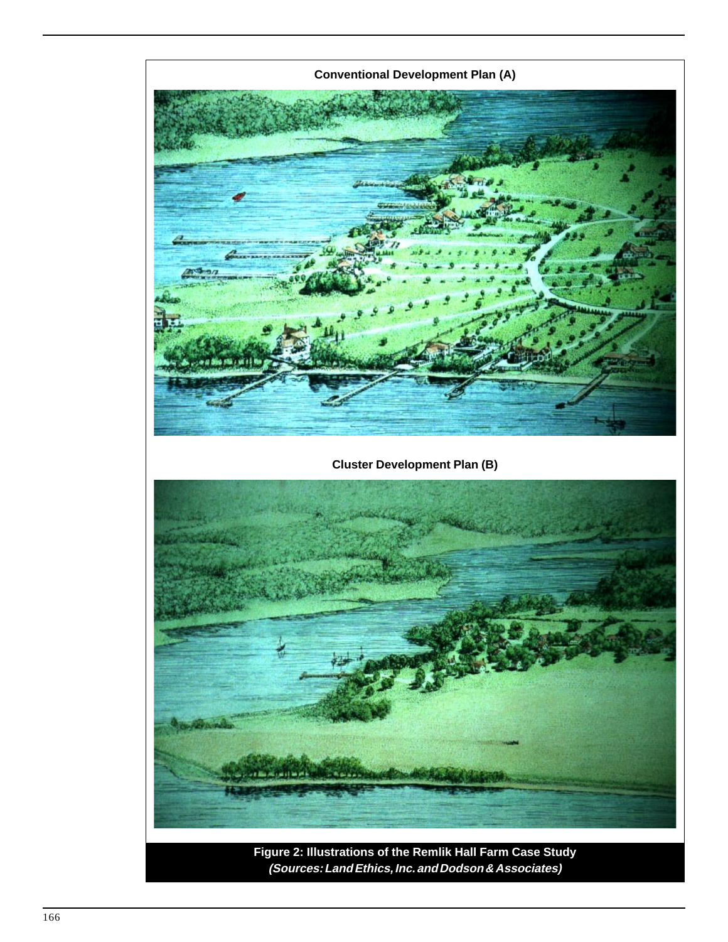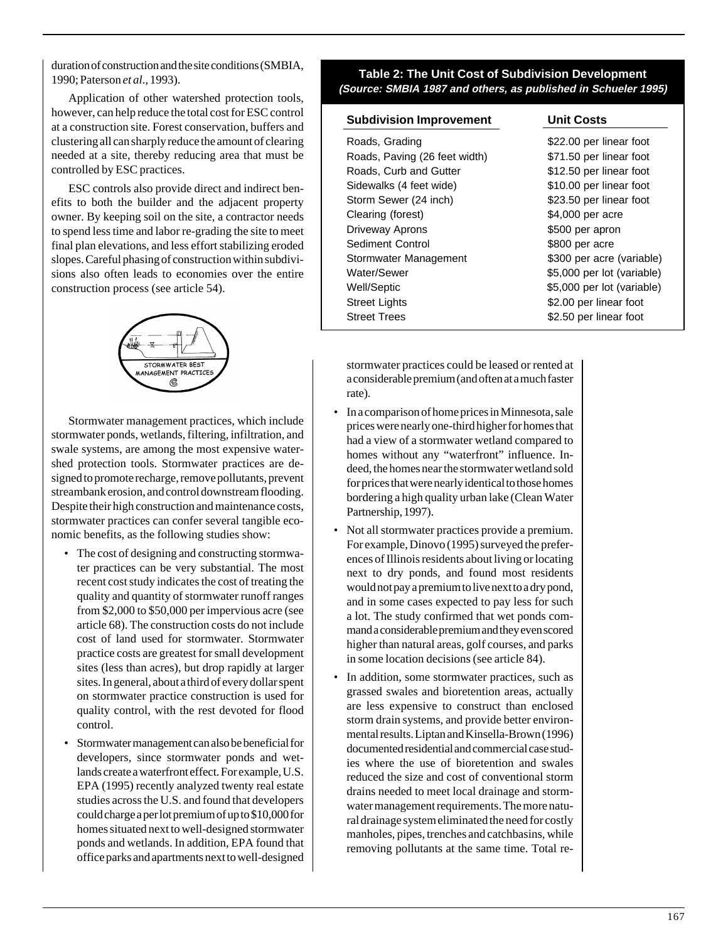duration of construction and the site conditions (SMBIA, 1990; Paterson *et al*., 1993).

Application of other watershed protection tools, however, can help reduce the total cost for ESC control at a construction site. Forest conservation, buffers and clustering all can sharply reduce the amount of clearing needed at a site, thereby reducing area that must be controlled by ESC practices.

ESC controls also provide direct and indirect benefits to both the builder and the adjacent property owner. By keeping soil on the site, a contractor needs to spend less time and labor re-grading the site to meet final plan elevations, and less effort stabilizing eroded slopes. Careful phasing of construction within subdivisions also often leads to economies over the entire construction process (see article 54).



Stormwater management practices, which include stormwater ponds, wetlands, filtering, infiltration, and swale systems, are among the most expensive watershed protection tools. Stormwater practices are designed to promote recharge, remove pollutants, prevent streambank erosion, and control downstream flooding. Despite their high construction and maintenance costs, stormwater practices can confer several tangible economic benefits, as the following studies show:

- The cost of designing and constructing stormwater practices can be very substantial. The most recent cost study indicates the cost of treating the quality and quantity of stormwater runoff ranges from \$2,000 to \$50,000 per impervious acre (see article 68). The construction costs do not include cost of land used for stormwater. Stormwater practice costs are greatest for small development sites (less than acres), but drop rapidly at larger sites. In general, about a third of every dollar spent on stormwater practice construction is used for quality control, with the rest devoted for flood control.
- Stormwater management can also be beneficial for developers, since stormwater ponds and wetlands create a waterfront effect. For example, U.S. EPA (1995) recently analyzed twenty real estate studies across the U.S. and found that developers could charge a per lot premium of up to \$10,000 for homes situated next to well-designed stormwater ponds and wetlands. In addition, EPA found that office parks and apartments next to well-designed

# **Table 2: The Unit Cost of Subdivision Development (Source: SMBIA 1987 and others, as published in Schueler 1995)**

### **Subdivision Improvement Unit Costs**

Roads, Grading  $$22.00$  per linear foot Roads, Paving (26 feet width) \$71.50 per linear foot Roads, Curb and Gutter \$12.50 per linear foot Sidewalks (4 feet wide) \$10.00 per linear foot Storm Sewer (24 inch) \$23.50 per linear foot Clearing (forest)  $$4,000$  per acre Driveway Aprons **\$500 per apron** Sediment Control **\$800 per acre** Stormwater Management \$300 per acre (variable) Water/Sewer  $$5,000$  per lot (variable) Well/Septic  $$5,000$  per lot (variable) Street Lights  $$2.00$  per linear foot Street Trees \$2.50 per linear foot

stormwater practices could be leased or rented at a considerable premium (and often at a much faster rate).

- In a comparison of home prices in Minnesota, sale prices were nearly one-third higher for homes that had a view of a stormwater wetland compared to homes without any "waterfront" influence. Indeed, the homes near the stormwater wetland sold for prices that were nearly identical to those homes bordering a high quality urban lake (Clean Water Partnership, 1997).
- Not all stormwater practices provide a premium. For example, Dinovo (1995) surveyed the preferences of Illinois residents about living or locating next to dry ponds, and found most residents would not pay a premium to live next to a dry pond, and in some cases expected to pay less for such a lot. The study confirmed that wet ponds command a considerable premium and they even scored higher than natural areas, golf courses, and parks in some location decisions (see article 84).
- In addition, some stormwater practices, such as grassed swales and bioretention areas, actually are less expensive to construct than enclosed storm drain systems, and provide better environmental results. Liptan and Kinsella-Brown (1996) documented residential and commercial case studies where the use of bioretention and swales reduced the size and cost of conventional storm drains needed to meet local drainage and stormwater management requirements. The more natural drainage system eliminated the need for costly manholes, pipes, trenches and catchbasins, while removing pollutants at the same time. Total re-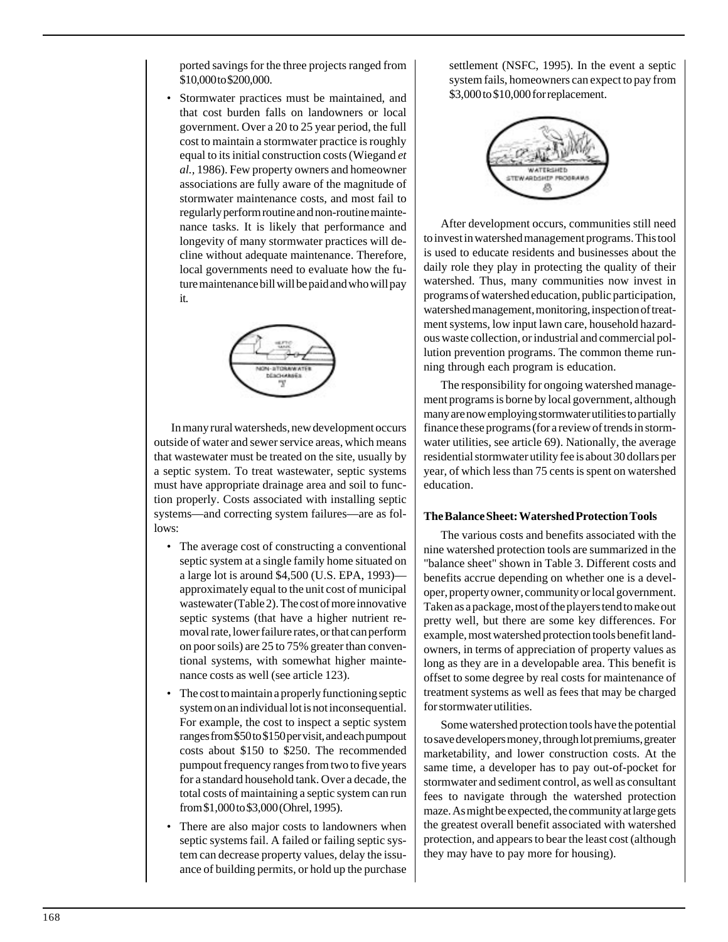ported savings for the three projects ranged from \$10,000 to \$200,000.

Stormwater practices must be maintained, and that cost burden falls on landowners or local government. Over a 20 to 25 year period, the full cost to maintain a stormwater practice is roughly equal to its initial construction costs (Wiegand *et al.,* 1986). Few property owners and homeowner associations are fully aware of the magnitude of stormwater maintenance costs, and most fail to regularly perform routine and non-routine maintenance tasks. It is likely that performance and longevity of many stormwater practices will decline without adequate maintenance. Therefore, local governments need to evaluate how the future maintenance bill will be paid and who will pay it.



In many rural watersheds, new development occurs outside of water and sewer service areas, which means that wastewater must be treated on the site, usually by a septic system. To treat wastewater, septic systems must have appropriate drainage area and soil to function properly. Costs associated with installing septic systems—and correcting system failures—are as follows:

- The average cost of constructing a conventional septic system at a single family home situated on a large lot is around \$4,500 (U.S. EPA, 1993) approximately equal to the unit cost of municipal wastewater (Table 2). The cost of more innovative septic systems (that have a higher nutrient removal rate, lower failure rates, or that can perform on poor soils) are 25 to 75% greater than conventional systems, with somewhat higher maintenance costs as well (see article 123).
- The cost to maintain a properly functioning septic system on an individual lot is not inconsequential. For example, the cost to inspect a septic system ranges from \$50 to \$150 per visit, and each pumpout costs about \$150 to \$250. The recommended pumpout frequency ranges from two to five years for a standard household tank. Over a decade, the total costs of maintaining a septic system can run from \$1,000 to \$3,000 (Ohrel, 1995).
- There are also major costs to landowners when septic systems fail. A failed or failing septic system can decrease property values, delay the issuance of building permits, or hold up the purchase

settlement (NSFC, 1995). In the event a septic system fails, homeowners can expect to pay from \$3,000 to \$10,000 for replacement.



After development occurs, communities still need to invest in watershed management programs. This tool is used to educate residents and businesses about the daily role they play in protecting the quality of their watershed. Thus, many communities now invest in programs of watershed education, public participation, watershed management, monitoring, inspection of treatment systems, low input lawn care, household hazardous waste collection, or industrial and commercial pollution prevention programs. The common theme running through each program is education.

The responsibility for ongoing watershed management programs is borne by local government, although many are now employing stormwater utilities to partially finance these programs (for a review of trends in stormwater utilities, see article 69). Nationally, the average residential stormwater utility fee is about 30 dollars per year, of which less than 75 cents is spent on watershed education.

# **The Balance Sheet: Watershed Protection Tools**

The various costs and benefits associated with the nine watershed protection tools are summarized in the "balance sheet" shown in Table 3. Different costs and benefits accrue depending on whether one is a developer, property owner, community or local government. Taken as a package, most of the players tend to make out pretty well, but there are some key differences. For example, most watershed protection tools benefit landowners, in terms of appreciation of property values as long as they are in a developable area. This benefit is offset to some degree by real costs for maintenance of treatment systems as well as fees that may be charged for stormwater utilities.

Some watershed protection tools have the potential to save developers money, through lot premiums, greater marketability, and lower construction costs. At the same time, a developer has to pay out-of-pocket for stormwater and sediment control, as well as consultant fees to navigate through the watershed protection maze. As might be expected, the community at large gets the greatest overall benefit associated with watershed protection, and appears to bear the least cost (although they may have to pay more for housing).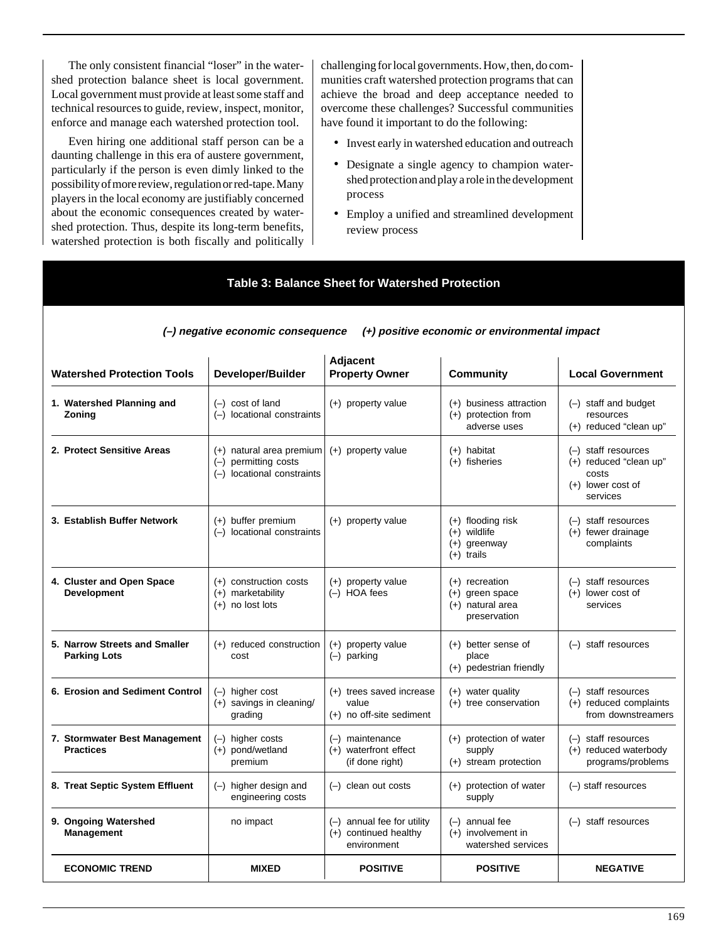The only consistent financial "loser" in the watershed protection balance sheet is local government. Local government must provide at least some staff and technical resources to guide, review, inspect, monitor, enforce and manage each watershed protection tool.

Even hiring one additional staff person can be a daunting challenge in this era of austere government, particularly if the person is even dimly linked to the possibility of more review, regulation or red-tape. Many players in the local economy are justifiably concerned about the economic consequences created by watershed protection. Thus, despite its long-term benefits, watershed protection is both fiscally and politically challenging for local governments. How, then, do communities craft watershed protection programs that can achieve the broad and deep acceptance needed to overcome these challenges? Successful communities have found it important to do the following:

- Invest early in watershed education and outreach
- Designate a single agency to champion watershed protection and play a role in the development process
- Employ a unified and streamlined development review process

| <b>Table 3: Balance Sheet for Watershed Protection</b>                             |                                                                                  |                                                                    |                                                                             |                                                                                               |  |  |  |
|------------------------------------------------------------------------------------|----------------------------------------------------------------------------------|--------------------------------------------------------------------|-----------------------------------------------------------------------------|-----------------------------------------------------------------------------------------------|--|--|--|
| (+) positive economic or environmental impact<br>(-) negative economic consequence |                                                                                  |                                                                    |                                                                             |                                                                                               |  |  |  |
| <b>Watershed Protection Tools</b>                                                  | Developer/Builder                                                                | Adjacent<br><b>Property Owner</b>                                  | <b>Community</b>                                                            | <b>Local Government</b>                                                                       |  |  |  |
| 1. Watershed Planning and<br>Zoning                                                | $(-)$ cost of land<br>(-) locational constraints                                 | $(+)$ property value                                               | (+) business attraction<br>$(+)$ protection from<br>adverse uses            | (-) staff and budget<br>resources<br>$(+)$ reduced "clean up"                                 |  |  |  |
| 2. Protect Sensitive Areas                                                         | $(+)$ natural area premium<br>(-) permitting costs<br>(-) locational constraints | $(+)$ property value                                               | $(+)$ habitat<br>$(+)$ fisheries                                            | $(-)$ staff resources<br>$(+)$ reduced "clean up"<br>costs<br>$(+)$ lower cost of<br>services |  |  |  |
| 3. Establish Buffer Network                                                        | $(+)$ buffer premium<br>(-) locational constraints                               | $(+)$ property value                                               | $(+)$ flooding risk<br>$(+)$ wildlife<br>$(+)$ greenway<br>$(+)$ trails     | $(-)$ staff resources<br>$(+)$ fewer drainage<br>complaints                                   |  |  |  |
| 4. Cluster and Open Space<br><b>Development</b>                                    | $(+)$ construction costs<br>$(+)$ marketability<br>$(+)$ no lost lots            | $(+)$ property value<br>(-) HOA fees                               | $(+)$ recreation<br>$(+)$ green space<br>$(+)$ natural area<br>preservation | $(-)$ staff resources<br>$(+)$ lower cost of<br>services                                      |  |  |  |
| 5. Narrow Streets and Smaller<br><b>Parking Lots</b>                               | (+) reduced construction<br>cost                                                 | $(+)$ property value<br>$(-)$ parking                              | $(+)$ better sense of<br>place<br>(+) pedestrian friendly                   | $(-)$ staff resources                                                                         |  |  |  |
| 6. Erosion and Sediment Control                                                    | $(-)$ higher cost<br>$(+)$ savings in cleaning/<br>grading                       | (+) trees saved increase<br>value<br>$(+)$ no off-site sediment    | $(+)$ water quality<br>$(+)$ tree conservation                              | $(-)$ staff resources<br>(+) reduced complaints<br>from downstreamers                         |  |  |  |
| 7. Stormwater Best Management<br><b>Practices</b>                                  | $(-)$ higher costs<br>$(+)$ pond/wetland<br>premium                              | $(-)$ maintenance<br>$(+)$ waterfront effect<br>(if done right)    | $(+)$ protection of water<br>supply<br>$(+)$ stream protection              | $(-)$ staff resources<br>(+) reduced waterbody<br>programs/problems                           |  |  |  |
| 8. Treat Septic System Effluent                                                    | (-) higher design and<br>engineering costs                                       | $(-)$ clean out costs                                              | (+) protection of water<br>supply                                           | (-) staff resources                                                                           |  |  |  |
| 9. Ongoing Watershed<br>Management                                                 | no impact                                                                        | (-) annual fee for utility<br>(+) continued healthy<br>environment | $(-)$ annual fee<br>$(+)$ involvement in<br>watershed services              | $(-)$ staff resources                                                                         |  |  |  |
| <b>ECONOMIC TREND</b>                                                              | <b>MIXED</b>                                                                     | <b>POSITIVE</b>                                                    | <b>POSITIVE</b>                                                             | <b>NEGATIVE</b>                                                                               |  |  |  |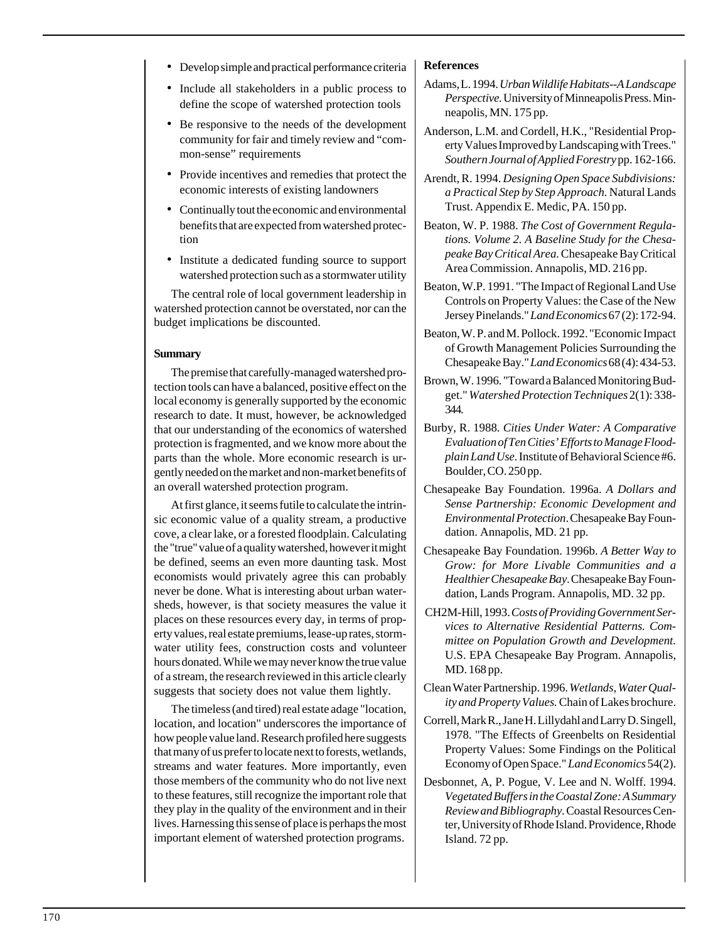- Develop simple and practical performance criteria
- Include all stakeholders in a public process to define the scope of watershed protection tools
- Be responsive to the needs of the development community for fair and timely review and "common-sense" requirements
- Provide incentives and remedies that protect the economic interests of existing landowners
- Continually tout the economic and environmental benefits that are expected from watershed protection
- Institute a dedicated funding source to support watershed protection such as a stormwater utility

The central role of local government leadership in watershed protection cannot be overstated, nor can the budget implications be discounted.

### **Summary**

The premise that carefully-managed watershed protection tools can have a balanced, positive effect on the local economy is generally supported by the economic research to date. It must, however, be acknowledged that our understanding of the economics of watershed protection is fragmented, and we know more about the parts than the whole. More economic research is urgently needed on the market and non-market benefits of an overall watershed protection program.

At first glance, it seems futile to calculate the intrinsic economic value of a quality stream, a productive cove, a clear lake, or a forested floodplain. Calculating the "true" value of a quality watershed, however it might be defined, seems an even more daunting task. Most economists would privately agree this can probably never be done. What is interesting about urban watersheds, however, is that society measures the value it places on these resources every day, in terms of property values, real estate premiums, lease-up rates, stormwater utility fees, construction costs and volunteer hours donated. While we may never know the true value of a stream, the research reviewed in this article clearly suggests that society does not value them lightly.

The timeless (and tired) real estate adage "location, location, and location" underscores the importance of how people value land. Research profiled here suggests that many of us prefer to locate next to forests, wetlands, streams and water features. More importantly, even those members of the community who do not live next to these features, still recognize the important role that they play in the quality of the environment and in their lives. Harnessing this sense of place is perhaps the most important element of watershed protection programs.

# **References**

- Adams, L. 1994. *Urban Wildlife Habitats--A Landscape Perspective.* University of Minneapolis Press. Minneapolis, MN. 175 pp.
- Anderson, L.M. and Cordell, H.K., "Residential Property Values Improved by Landscaping with Trees." *Southern Journal of Applied Forestry* pp. 162-166.
- Arendt, R. 1994. *Designing Open Space Subdivisions: a Practical Step by Step Approach.* Natural Lands Trust. Appendix E. Medic, PA. 150 pp.
- Beaton, W. P. 1988. *The Cost of Government Regulations. Volume 2. A Baseline Study for the Chesapeake Bay Critical Area.* Chesapeake Bay Critical Area Commission. Annapolis, MD. 216 pp.
- Beaton, W.P. 1991. "The Impact of Regional Land Use Controls on Property Values: the Case of the New Jersey Pinelands." *Land Economics* 67 (2): 172-94.
- Beaton, W. P. and M. Pollock. 1992. "Economic Impact of Growth Management Policies Surrounding the Chesapeake Bay." *Land Economics* 68 (4): 434-53.
- Brown, W. 1996. "Toward a Balanced Monitoring Budget." *Watershed Protection Techniques* 2(1): 338- 344.
- Burby, R. 1988. *Cities Under Water: A Comparative Evaluation of Ten Cities' Efforts to Manage Floodplain Land Use.* Institute of Behavioral Science #6. Boulder, CO. 250 pp.
- Chesapeake Bay Foundation. 1996a. *A Dollars and Sense Partnership: Economic Development and Environmental Protection*. Chesapeake Bay Foundation. Annapolis, MD. 21 pp.
- Chesapeake Bay Foundation. 1996b. *A Better Way to Grow: for More Livable Communities and a Healthier Chesapeake Bay*. Chesapeake Bay Foundation, Lands Program. Annapolis, MD. 32 pp.
- CH2M-Hill, 1993. *Costs of Providing Government Services to Alternative Residential Patterns. Committee on Population Growth and Development.* U.S. EPA Chesapeake Bay Program. Annapolis, MD. 168 pp.
- Clean Water Partnership. 1996. *Wetlands, Water Quality and Property Values.* Chain of Lakes brochure.
- Correll, Mark R., Jane H. Lillydahl and Larry D. Singell, 1978. "The Effects of Greenbelts on Residential Property Values: Some Findings on the Political Economy of Open Space." *Land Economics* 54(2).
- Desbonnet, A, P. Pogue, V. Lee and N. Wolff. 1994. *Vegetated Buffers in the Coastal Zone: A Summary Review and Bibliography.* Coastal Resources Center, University of Rhode Island. Providence, Rhode Island. 72 pp.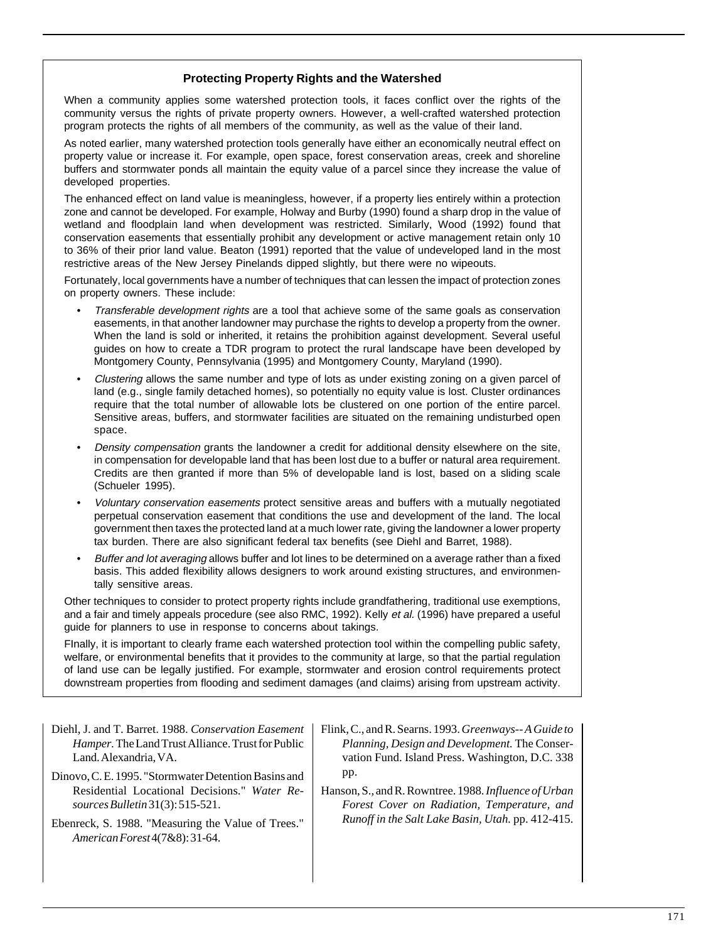# **Protecting Property Rights and the Watershed**

When a community applies some watershed protection tools, it faces conflict over the rights of the community versus the rights of private property owners. However, a well-crafted watershed protection program protects the rights of all members of the community, as well as the value of their land.

As noted earlier, many watershed protection tools generally have either an economically neutral effect on property value or increase it. For example, open space, forest conservation areas, creek and shoreline buffers and stormwater ponds all maintain the equity value of a parcel since they increase the value of developed properties.

The enhanced effect on land value is meaningless, however, if a property lies entirely within a protection zone and cannot be developed. For example, Holway and Burby (1990) found a sharp drop in the value of wetland and floodplain land when development was restricted. Similarly, Wood (1992) found that conservation easements that essentially prohibit any development or active management retain only 10 to 36% of their prior land value. Beaton (1991) reported that the value of undeveloped land in the most restrictive areas of the New Jersey Pinelands dipped slightly, but there were no wipeouts.

Fortunately, local governments have a number of techniques that can lessen the impact of protection zones on property owners. These include:

- Transferable development rights are a tool that achieve some of the same goals as conservation easements, in that another landowner may purchase the rights to develop a property from the owner. When the land is sold or inherited, it retains the prohibition against development. Several useful guides on how to create a TDR program to protect the rural landscape have been developed by Montgomery County, Pennsylvania (1995) and Montgomery County, Maryland (1990).
- Clustering allows the same number and type of lots as under existing zoning on a given parcel of land (e.g., single family detached homes), so potentially no equity value is lost. Cluster ordinances require that the total number of allowable lots be clustered on one portion of the entire parcel. Sensitive areas, buffers, and stormwater facilities are situated on the remaining undisturbed open space.
- Density compensation grants the landowner a credit for additional density elsewhere on the site, in compensation for developable land that has been lost due to a buffer or natural area requirement. Credits are then granted if more than 5% of developable land is lost, based on a sliding scale (Schueler 1995).
- Voluntary conservation easements protect sensitive areas and buffers with a mutually negotiated perpetual conservation easement that conditions the use and development of the land. The local government then taxes the protected land at a much lower rate, giving the landowner a lower property tax burden. There are also significant federal tax benefits (see Diehl and Barret, 1988).
- Buffer and lot averaging allows buffer and lot lines to be determined on a average rather than a fixed basis. This added flexibility allows designers to work around existing structures, and environmentally sensitive areas.

Other techniques to consider to protect property rights include grandfathering, traditional use exemptions, and a fair and timely appeals procedure (see also RMC, 1992). Kelly et al. (1996) have prepared a useful guide for planners to use in response to concerns about takings.

FInally, it is important to clearly frame each watershed protection tool within the compelling public safety, welfare, or environmental benefits that it provides to the community at large, so that the partial regulation of land use can be legally justified. For example, stormwater and erosion control requirements protect downstream properties from flooding and sediment damages (and claims) arising from upstream activity.

- Diehl, J. and T. Barret. 1988. *Conservation Easement Hamper.* The Land Trust Alliance. Trust for Public Land. Alexandria, VA.
- Dinovo, C. E. 1995. "Stormwater Detention Basins and Residential Locational Decisions." *Water Resources Bulletin* 31(3): 515-521.
- Ebenreck, S. 1988. "Measuring the Value of Trees." *American Forest* 4(7&8): 31-64.
- Flink, C., and R. Searns. 1993. *Greenways-- A Guide to Planning, Design and Development.* The Conservation Fund. Island Press. Washington, D.C. 338 pp.
- Hanson, S., and R. Rowntree. 1988. *Influence of Urban Forest Cover on Radiation, Temperature, and Runoff in the Salt Lake Basin, Utah.* pp. 412-415.